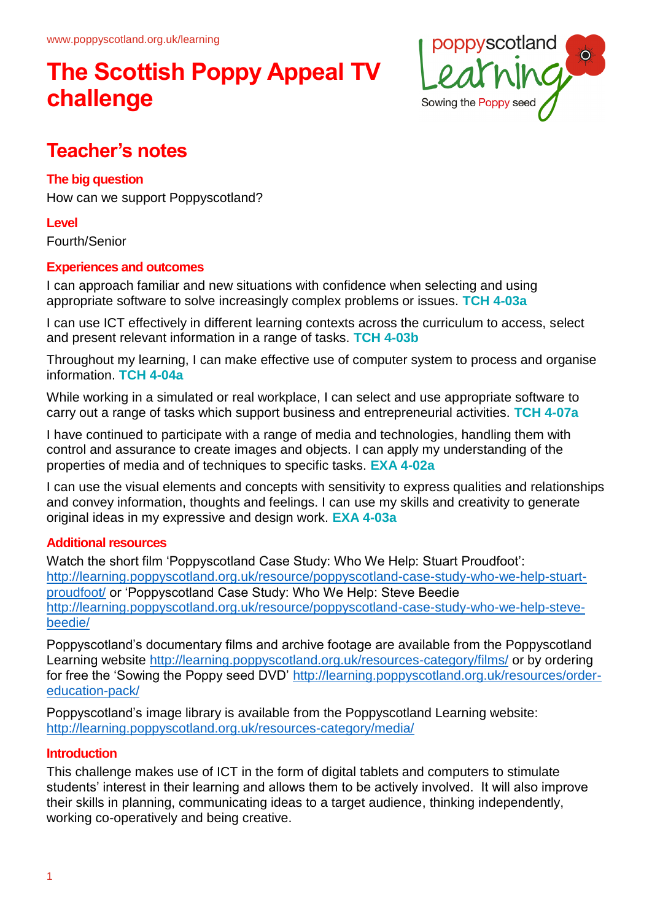

## **Teacher's notes**

#### **The big question**

How can we support Poppyscotland?

#### **Level**

Fourth/Senior

### **Experiences and outcomes**

I can approach familiar and new situations with confidence when selecting and using appropriate software to solve increasingly complex problems or issues. **TCH 4-03a**

I can use ICT effectively in different learning contexts across the curriculum to access, select and present relevant information in a range of tasks. **TCH 4-03b**

Throughout my learning, I can make effective use of computer system to process and organise information. **TCH 4-04a**

While working in a simulated or real workplace, I can select and use appropriate software to carry out a range of tasks which support business and entrepreneurial activities. **TCH 4-07a**

I have continued to participate with a range of media and technologies, handling them with control and assurance to create images and objects. I can apply my understanding of the properties of media and of techniques to specific tasks. **EXA 4-02a**

I can use the visual elements and concepts with sensitivity to express qualities and relationships and convey information, thoughts and feelings. I can use my skills and creativity to generate original ideas in my expressive and design work. **EXA 4-03a**

#### **Additional resources**

Watch the short film 'Poppyscotland Case Study: Who We Help: Stuart Proudfoot': http://learning.poppyscotland.org.uk/resource/poppyscotland-case-study-who-we-help-stuartproudfoot/ or 'Poppyscotland Case Study: Who We Help: Steve Beedie http://learning.poppyscotland.org.uk/resource/poppyscotland-case-study-who-we-help-stevebeedie/

Poppyscotland's documentary films and archive footage are available from the Poppyscotland Learning website http://learning.poppyscotland.org.uk/resources-category/films/ or by ordering for free the 'Sowing the Poppy seed DVD' http://learning.poppyscotland.org.uk/resources/ordereducation-pack/

Poppyscotland's image library is available from the Poppyscotland Learning website: http://learning.poppyscotland.org.uk/resources-category/media/

#### **Introduction**

This challenge makes use of ICT in the form of digital tablets and computers to stimulate students' interest in their learning and allows them to be actively involved. It will also improve their skills in planning, communicating ideas to a target audience, thinking independently, working co-operatively and being creative.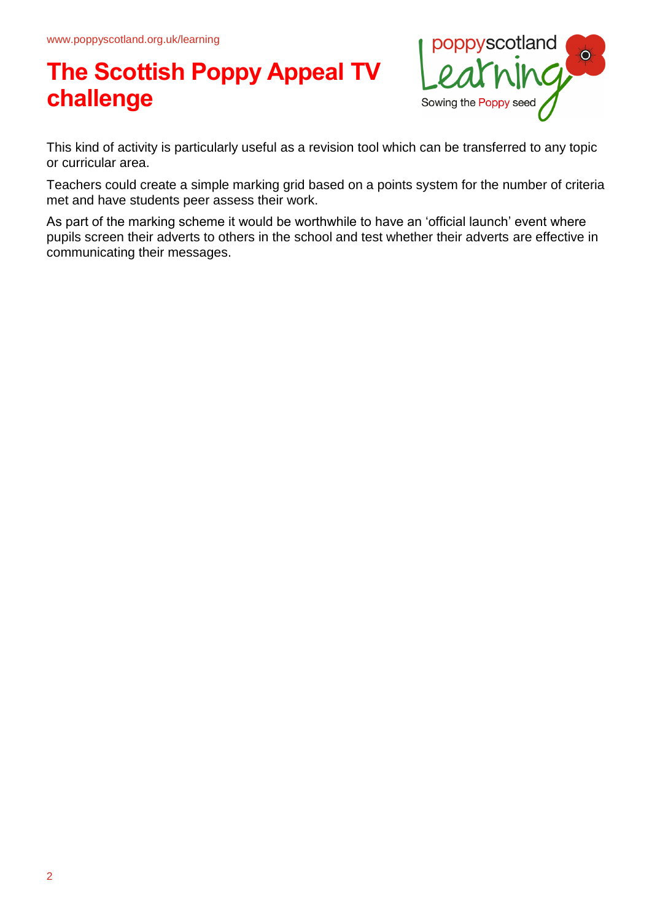

This kind of activity is particularly useful as a revision tool which can be transferred to any topic or curricular area.

Teachers could create a simple marking grid based on a points system for the number of criteria met and have students peer assess their work.

As part of the marking scheme it would be worthwhile to have an 'official launch' event where pupils screen their adverts to others in the school and test whether their adverts are effective in communicating their messages.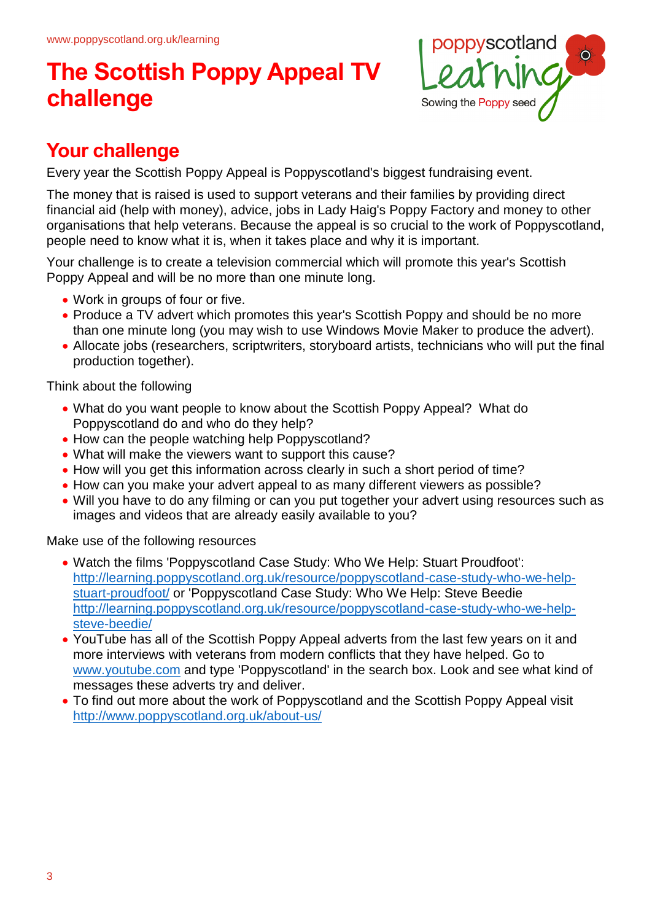

## **Your challenge**

Every year the Scottish Poppy Appeal is Poppyscotland's biggest fundraising event.

The money that is raised is used to support veterans and their families by providing direct financial aid (help with money), advice, jobs in Lady Haig's Poppy Factory and money to other organisations that help veterans. Because the appeal is so crucial to the work of Poppyscotland, people need to know what it is, when it takes place and why it is important.

Your challenge is to create a television commercial which will promote this year's Scottish Poppy Appeal and will be no more than one minute long.

- Work in groups of four or five.
- Produce a TV advert which promotes this year's Scottish Poppy and should be no more than one minute long (you may wish to use Windows Movie Maker to produce the advert).
- Allocate jobs (researchers, scriptwriters, storyboard artists, technicians who will put the final production together).

Think about the following

- What do you want people to know about the Scottish Poppy Appeal? What do Poppyscotland do and who do they help?
- How can the people watching help Poppyscotland?
- What will make the viewers want to support this cause?
- How will you get this information across clearly in such a short period of time?
- How can you make your advert appeal to as many different viewers as possible?
- Will you have to do any filming or can you put together your advert using resources such as images and videos that are already easily available to you?

Make use of the following resources

- Watch the films 'Poppyscotland Case Study: Who We Help: Stuart Proudfoot': http://learning.poppyscotland.org.uk/resource/poppyscotland-case-study-who-we-helpstuart-proudfoot/ or 'Poppyscotland Case Study: Who We Help: Steve Beedie http://learning.poppyscotland.org.uk/resource/poppyscotland-case-study-who-we-helpsteve-beedie/
- YouTube has all of the Scottish Poppy Appeal adverts from the last few years on it and more interviews with veterans from modern conflicts that they have helped. Go to www.youtube.com and type 'Poppyscotland' in the search box. Look and see what kind of messages these adverts try and deliver.
- To find out more about the work of Poppyscotland and the Scottish Poppy Appeal visit http://www.poppyscotland.org.uk/about-us/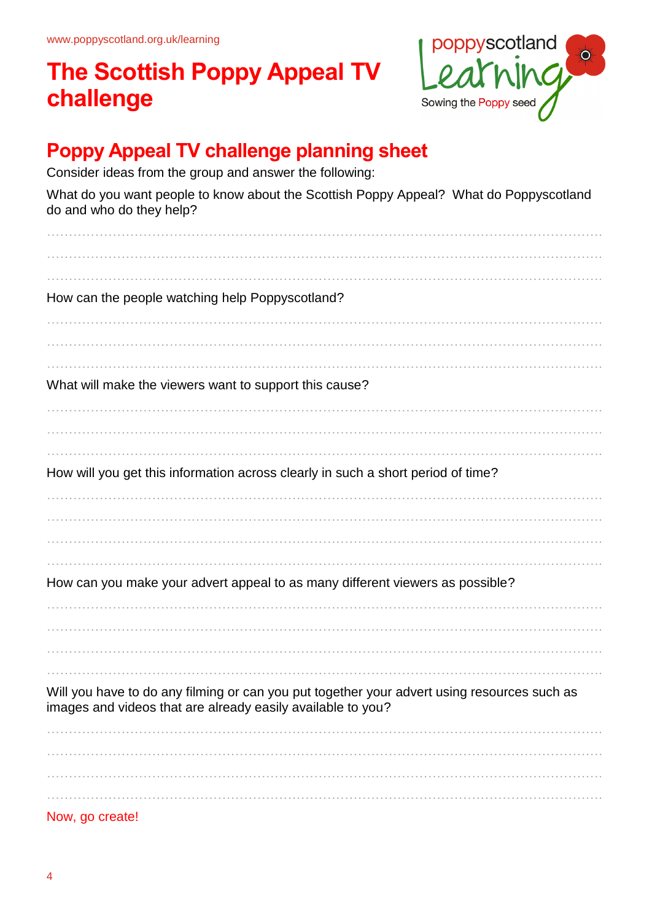

## **Poppy Appeal TV challenge planning sheet**

Consider ideas from the group and answer the following:

What do you want people to know about the Scottish Poppy Appeal? What do Poppyscotland do and who do they help?

| How can the people watching help Poppyscotland?                                                                                                            |
|------------------------------------------------------------------------------------------------------------------------------------------------------------|
|                                                                                                                                                            |
| What will make the viewers want to support this cause?                                                                                                     |
| How will you get this information across clearly in such a short period of time?                                                                           |
|                                                                                                                                                            |
| How can you make your advert appeal to as many different viewers as possible?                                                                              |
|                                                                                                                                                            |
| Will you have to do any filming or can you put together your advert using resources such as<br>images and videos that are already easily available to you? |
|                                                                                                                                                            |
| Now, go create!                                                                                                                                            |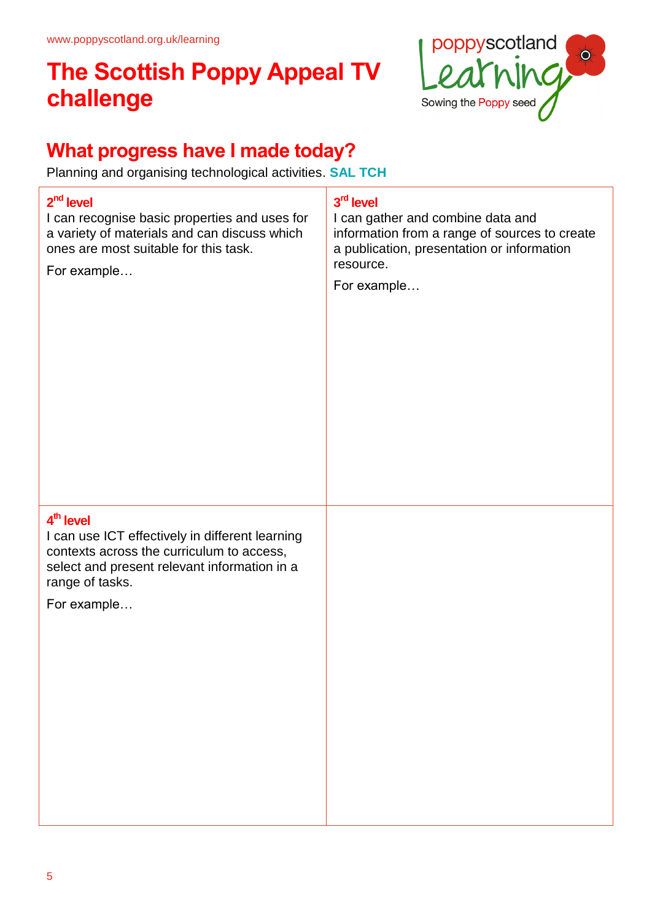

## **What progress have I made today?**

Planning and organising technological activities. **SAL TCH**

### **2 nd level**

I can recognise basic properties and uses for a variety of materials and can discuss which ones are most suitable for this task.

For example…

### **3 rd level**

I can gather and combine data and information from a range of sources to create a publication, presentation or information resource.

For example…

### **4 th level**

I can use ICT effectively in different learning contexts across the curriculum to access, select and present relevant information in a range of tasks.

For example…